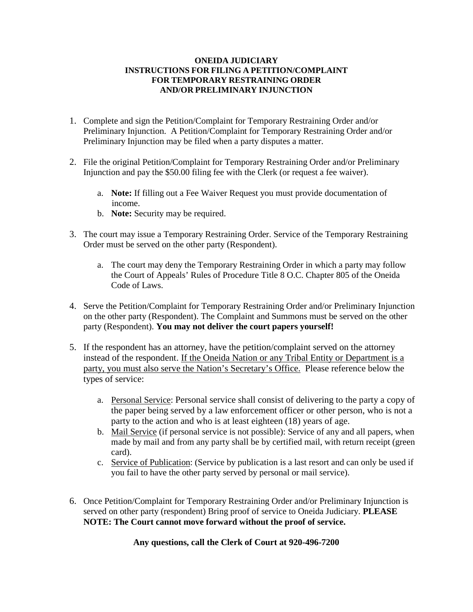### **ONEIDA JUDICIARY INSTRUCTIONS FOR FILING A PETITION/COMPLAINT FOR TEMPORARY RESTRAINING ORDER AND/OR PRELIMINARY INJUNCTION**

- 1. Complete and sign the Petition/Complaint for Temporary Restraining Order and/or Preliminary Injunction. A Petition/Complaint for Temporary Restraining Order and/or Preliminary Injunction may be filed when a party disputes a matter.
- 2. File the original Petition/Complaint for Temporary Restraining Order and/or Preliminary Injunction and pay the \$50.00 filing fee with the Clerk (or request a fee waiver).
	- a. **Note:** If filling out a Fee Waiver Request you must provide documentation of income.
	- b. **Note:** Security may be required.
- 3. The court may issue a Temporary Restraining Order. Service of the Temporary Restraining Order must be served on the other party (Respondent).
	- a. The court may deny the Temporary Restraining Order in which a party may follow the Court of Appeals' Rules of Procedure Title 8 O.C. Chapter 805 of the Oneida Code of Laws.
- 4. Serve the Petition/Complaint for Temporary Restraining Order and/or Preliminary Injunction on the other party (Respondent). The Complaint and Summons must be served on the other party (Respondent). **You may not deliver the court papers yourself!**
- 5. If the respondent has an attorney, have the petition/complaint served on the attorney instead of the respondent. If the Oneida Nation or any Tribal Entity or Department is a party, you must also serve the Nation's Secretary's Office. Please reference below the types of service:
	- a. Personal Service: Personal service shall consist of delivering to the party a copy of the paper being served by a law enforcement officer or other person, who is not a party to the action and who is at least eighteen (18) years of age.
	- b. Mail Service (if personal service is not possible): Service of any and all papers, when made by mail and from any party shall be by certified mail, with return receipt (green card).
	- c. Service of Publication: (Service by publication is a last resort and can only be used if you fail to have the other party served by personal or mail service).
- 6. Once Petition/Complaint for Temporary Restraining Order and/or Preliminary Injunction is served on other party (respondent) Bring proof of service to Oneida Judiciary. **PLEASE NOTE: The Court cannot move forward without the proof of service.**

**Any questions, call the Clerk of Court at 920-496-7200**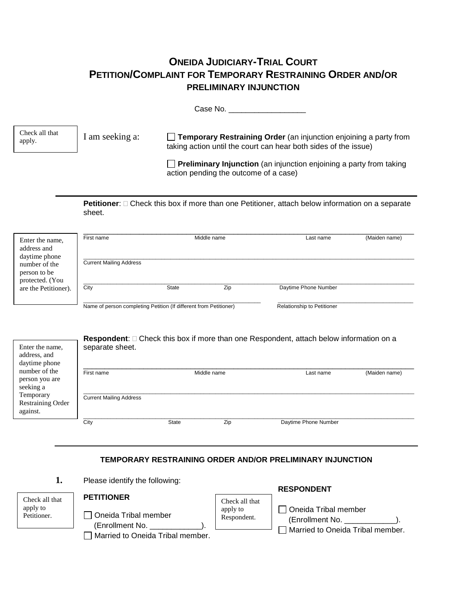# **ONEIDA JUDICIARY-TRIAL COURT PETITION/COMPLAINT FOR TEMPORARY RESTRAINING ORDER AND/OR PRELIMINARY INJUNCTION**

Case No. \_\_\_\_\_\_\_\_\_\_\_\_\_\_\_\_\_\_

I am seeking a: **Temporary Restraining Order** (an injunction enjoining a party from taking action until the court can hear both sides of the issue) Check all that apply.

> **Preliminary Injunction** (an injunction enjoining a party from taking action pending the outcome of a case)

**Petitioner**:  $\Box$  Check this box if more than one Petitioner, attach below information on a separate sheet.

| Enter the name,<br>address and<br>daytime phone  | First name                                                        |       | Middle name | Last name                         | (Maiden name) |
|--------------------------------------------------|-------------------------------------------------------------------|-------|-------------|-----------------------------------|---------------|
| number of the<br>person to be<br>protected. (You | <b>Current Mailing Address</b>                                    |       |             |                                   |               |
| are the Petitioner).                             | City                                                              | State | Zip         | Daytime Phone Number              |               |
|                                                  | Name of person completing Petition (If different from Petitioner) |       |             | <b>Relationship to Petitioner</b> |               |

| Enter the name,<br>address, and<br>daytime phone  | <b>Respondent:</b> □ Check this box if more than one Respondent, attach below information on a<br>separate sheet. |              |             |                            |  |
|---------------------------------------------------|-------------------------------------------------------------------------------------------------------------------|--------------|-------------|----------------------------|--|
| number of the<br>person you are<br>seeking a      | First name                                                                                                        |              | Middle name | (Maiden name)<br>Last name |  |
| Temporary<br><b>Restraining Order</b><br>against. | <b>Current Mailing Address</b>                                                                                    |              |             |                            |  |
|                                                   | City                                                                                                              | <b>State</b> | Zip         | Daytime Phone Number       |  |

## **TEMPORARY RESTRAINING ORDER AND/OR PRELIMINARY INJUNCTION**

**RESPONDENT**

**1.** Please identify the following:

|                         |                                                                             |                         | <b>RESPUNDENT</b>                                                           |
|-------------------------|-----------------------------------------------------------------------------|-------------------------|-----------------------------------------------------------------------------|
| Check all that          | <b>PETITIONER</b>                                                           | Check all that          |                                                                             |
| apply to<br>Petitioner. | Oneida Tribal member<br>(Enrollment No.<br>Married to Oneida Tribal member. | apply to<br>Respondent. | Oneida Tribal member<br>(Enrollment No.<br>Married to Oneida Tribal member. |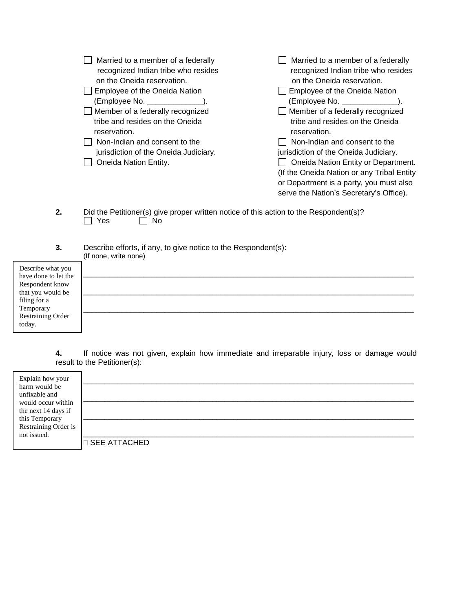|    | Married to a member of a federally<br>recognized Indian tribe who resides<br>on the Oneida reservation.<br>Employee of the Oneida Nation<br>$(\text{Employee No.} \_\_\_\_$<br>Member of a federally recognized<br>tribe and resides on the Oneida<br>reservation.<br>Non-Indian and consent to the<br>jurisdiction of the Oneida Judiciary.<br>Oneida Nation Entity. | Married to a member of a federally<br>recognized Indian tribe who resides<br>on the Oneida reservation.<br>Employee of the Oneida Nation<br>(Employee No. _______________<br>Member of a federally recognized<br>tribe and resides on the Oneida<br>reservation.<br>Non-Indian and consent to the<br>jurisdiction of the Oneida Judiciary.<br>Oneida Nation Entity or Department.<br>(If the Oneida Nation or any Tribal Entity<br>or Department is a party, you must also<br>serve the Nation's Secretary's Office). |
|----|-----------------------------------------------------------------------------------------------------------------------------------------------------------------------------------------------------------------------------------------------------------------------------------------------------------------------------------------------------------------------|-----------------------------------------------------------------------------------------------------------------------------------------------------------------------------------------------------------------------------------------------------------------------------------------------------------------------------------------------------------------------------------------------------------------------------------------------------------------------------------------------------------------------|
| 2. | Did the Petitioner(s) give proper written notice of this action to the Respondent(s)?<br>Yes<br>No.                                                                                                                                                                                                                                                                   |                                                                                                                                                                                                                                                                                                                                                                                                                                                                                                                       |
| 3. | Describe efforts, if any, to give notice to the Respondent(s):<br>(If none, write none)                                                                                                                                                                                                                                                                               |                                                                                                                                                                                                                                                                                                                                                                                                                                                                                                                       |

| Describe what you    |  |
|----------------------|--|
| have done to let the |  |
| Respondent know      |  |
| that you would be    |  |
| filing for a         |  |
| Temporary            |  |
| Restraining Order    |  |
| today.               |  |
|                      |  |

**4.** If notice was not given, explain how immediate and irreparable injury, loss or damage would result to the Petitioner(s):

| <b>SEE ATTACHED</b> |
|---------------------|
|                     |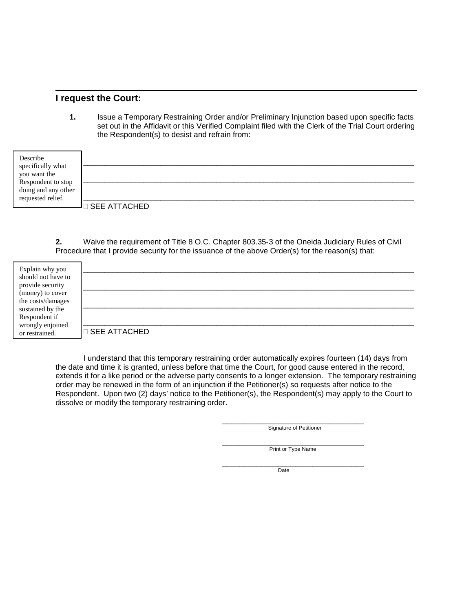### **I request the Court:**

**1.** Issue a Temporary Restraining Order and/or Preliminary Injunction based upon specific facts set out in the Affidavit or this Verified Complaint filed with the Clerk of the Trial Court ordering the Respondent(s) to desist and refrain from:

| Describe<br>specifically what             |                       |
|-------------------------------------------|-----------------------|
| you want the                              |                       |
| Respondent to stop<br>doing and any other |                       |
| requested relief.                         | <b>D SEE ATTACHED</b> |

**2.** Waive the requirement of Title 8 O.C. Chapter 803.35-3 of the Oneida Judiciary Rules of Civil Procedure that I provide security for the issuance of the above Order(s) for the reason(s) that:

| Explain why you<br>should not have to |                |
|---------------------------------------|----------------|
| provide security                      |                |
| (money) to cover                      |                |
| the costs/damages                     |                |
| sustained by the                      |                |
| Respondent if                         |                |
| wrongly enjoined<br>or restrained.    | □ SEE ATTACHED |

I understand that this temporary restraining order automatically expires fourteen (14) days from the date and time it is granted, unless before that time the Court, for good cause entered in the record, extends it for a like period or the adverse party consents to a longer extension. The temporary restraining order may be renewed in the form of an injunction if the Petitioner(s) so requests after notice to the Respondent. Upon two (2) days' notice to the Petitioner(s), the Respondent(s) may apply to the Court to dissolve or modify the temporary restraining order.

Signature of Petitioner

Print or Type Name

\_\_\_\_\_\_\_\_\_\_\_\_\_\_\_\_\_\_\_\_\_\_\_\_\_\_\_\_\_\_\_\_\_ **Date**